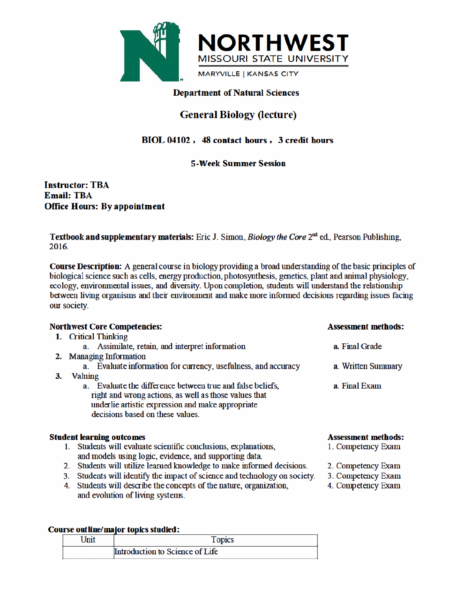

# **Department of Natural Sciences**

# **General Biology (lecture)**

# BIOL 04102, 48 contact hours, 3 credit hours

### **5-Week Summer Session**

**Instructor: TBA Email: TBA Office Hours: By appointment** 

Textbook and supplementary materials: Eric J. Simon, *Biology the Core* 2<sup>nd</sup> ed., Pearson Publishing, 2016.

**Course Description:** A general course in biology providing a broad understanding of the basic principles of biological science such as cells, energy production, photosynthesis, genetics, plant and animal physiology, ecology, environmental issues, and diversity. Upon completion, students will understand the relationship between living organisms and their environment and make more informed decisions regarding issues facing our society.

|    | <b>Northwest Core Competencies:</b>                                                                                                                                                                          | <b>Assessment methods:</b> |  |  |
|----|--------------------------------------------------------------------------------------------------------------------------------------------------------------------------------------------------------------|----------------------------|--|--|
|    | 1. Critical Thinking                                                                                                                                                                                         |                            |  |  |
|    | a. Assimilate, retain, and interpret information                                                                                                                                                             | a. Final Grade             |  |  |
|    | 2. Managing Information                                                                                                                                                                                      |                            |  |  |
|    | a. Evaluate information for currency, usefulness, and accuracy                                                                                                                                               | a. Written Summary         |  |  |
| 3. | <b>Valuing</b>                                                                                                                                                                                               |                            |  |  |
|    | a. Evaluate the difference between true and false beliefs,<br>right and wrong actions, as well as those values that<br>underlie artistic expression and make appropriate<br>decisions based on these values. | a. Final Exam              |  |  |
|    | <b>Student learning outcomes</b>                                                                                                                                                                             | <b>Assessment methods:</b> |  |  |
|    | 1. Students will evaluate scientific conclusions, explanations,                                                                                                                                              | 1. Competency Exam         |  |  |
|    | and models using logic, evidence, and supporting data.                                                                                                                                                       |                            |  |  |
|    | 2. Students will utilize learned knowledge to make informed decisions.                                                                                                                                       | 2. Competency Exam         |  |  |
|    | Students will identify the impact of science and technology on society.                                                                                                                                      | 3. Competency Exam         |  |  |
|    |                                                                                                                                                                                                              |                            |  |  |

4. Students will describe the concepts of the nature, organization, 4. Competency Exam and evolution of living systems.

### Course outline/major topics studied:

| ' Jnit | <b>TODICS</b>                   |
|--------|---------------------------------|
|        | Introduction to Science of Life |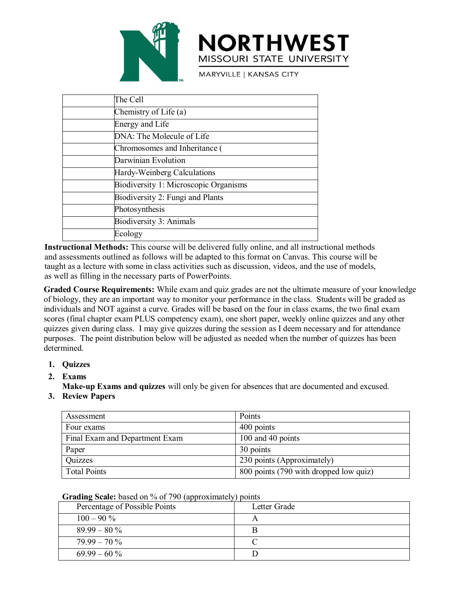

|                                                           | <b>NORTHWEST</b><br>MISSOURI STATE UNIVERSITY                                                                                                                                                                                                                                                                                                                                                                                                                                                                                                         |  |
|-----------------------------------------------------------|-------------------------------------------------------------------------------------------------------------------------------------------------------------------------------------------------------------------------------------------------------------------------------------------------------------------------------------------------------------------------------------------------------------------------------------------------------------------------------------------------------------------------------------------------------|--|
|                                                           | <b>MARYVILLE   KANSAS CITY</b>                                                                                                                                                                                                                                                                                                                                                                                                                                                                                                                        |  |
| The Cell                                                  |                                                                                                                                                                                                                                                                                                                                                                                                                                                                                                                                                       |  |
| Chemistry of Life (a)                                     |                                                                                                                                                                                                                                                                                                                                                                                                                                                                                                                                                       |  |
| <b>Energy and Life</b>                                    |                                                                                                                                                                                                                                                                                                                                                                                                                                                                                                                                                       |  |
| DNA: The Molecule of Life                                 |                                                                                                                                                                                                                                                                                                                                                                                                                                                                                                                                                       |  |
| Chromosomes and Inheritance (                             |                                                                                                                                                                                                                                                                                                                                                                                                                                                                                                                                                       |  |
| Darwinian Evolution                                       |                                                                                                                                                                                                                                                                                                                                                                                                                                                                                                                                                       |  |
| Hardy-Weinberg Calculations                               |                                                                                                                                                                                                                                                                                                                                                                                                                                                                                                                                                       |  |
| Biodiversity 1: Microscopic Organisms                     |                                                                                                                                                                                                                                                                                                                                                                                                                                                                                                                                                       |  |
| Biodiversity 2: Fungi and Plants                          |                                                                                                                                                                                                                                                                                                                                                                                                                                                                                                                                                       |  |
| Photosynthesis                                            |                                                                                                                                                                                                                                                                                                                                                                                                                                                                                                                                                       |  |
| Biodiversity 3: Animals                                   |                                                                                                                                                                                                                                                                                                                                                                                                                                                                                                                                                       |  |
| Ecology                                                   |                                                                                                                                                                                                                                                                                                                                                                                                                                                                                                                                                       |  |
| as well as filling in the necessary parts of PowerPoints. | Instructional Methods: This course will be delivered fully online, and all instructional methods<br>and assessments outlined as follows will be adapted to this format on Canvas. This course will be<br>taught as a lecture with some in class activities such as discussion, videos, and the use of models,                                                                                                                                                                                                                                         |  |
|                                                           | Graded Course Requirements: While exam and quiz grades are not the ultimate measure of your knowledge<br>of biology, they are an important way to monitor your performance in the class. Students will be graded as<br>individuals and NOT against a curve. Grades will be based on the four in class exams, the two final exam<br>scores (final chapter exam PLUS competency exam), one short paper, weekly online quizzes and any other<br>quizzes given during class. I may give quizzes during the session as I deem necessary and for attendance |  |

**Example 19** Fractive Calculations<br> **Example 1:** Nicroscopic Organisms<br> **Example 1:** Photosynthesis<br> **Example 1:** Photosynthesis<br> **Example 1:** Photosynthesis<br> **Example 1:** Photosynthesis<br> **Example 1:** Photosynthesis<br> **Exam Example 1:** Microscopic Organisms<br> **Examples and Solutions:** This course will be delivered fully online, and all instructional methods<br> **Instructional Methods:** This course will be delivered fully online, and all instruct **Exam PRONT CONSET CONSET CONSET CONSET CONSET CONSET CONSET CONSET CONSET CONSET CONSET CONSET CONSET CONSET CONSET CONSET CONSET CONSET CONSET CONSET CONSET AND ARE ARRENT CONSET AND AN AN ARRENT CONSET AND ANY ORDER IN Exercises given**<br>**Exercises gradies:** This course will be delivered fully online, and all instructional methods<br> **Instructional Methods:** This course will be delivered fully online, and all instructional methods<br>
and asse purposes. This course will be delivered fully online, and all instructional methods<br> **Instructional Methods:** This course will be delivered fully online, and all instructional methods<br>
and assessments outlined as follows w determined. **Example 12.1**<br> **2. Exams**<br> **2. Exams**<br> **2. Exams**<br> **2. Exams**<br> **2. Exams**<br> **2. Exams**<br> **2. Exams**<br> **2. Exams**<br> **2. Exams**<br> **2. Exams**<br> **2. Exams**<br> **2. Exams**<br> **2. Exams**<br> **2. Exams**<br> **2. Exams**<br> **2. Exams**<br> **2. Exams**<br> **2 SEXEMENT SEXELTS SEXELTS AND SEXELTS AND SEXELTS AND SEXELTS AND SEXELTS AND SEXELTS AND SEXELTS AND SEXELTS AND SEXELTS AND SEXELTS AND SEXELTS AND SEXELTS AND SEXELT AND SEXELTS AND SEXELT AND SEXELT AND SEXELT AND SEXE 3. Review Papers**<br> **3. Review Papers**<br> **3. Review Paperse Requirements:** While exam and qu<br> **3. Review Papers** and MOT against a curve. Grades will be<br>
cores (final chapter exam PLUS competency exam),<br>
uizzes given during

- **1. Quizzes**
- 

| mined.                                                                                                                                        | ology, they are all important way to monitor your performance in the class. Students will be graded as<br>iduals and NOT against a curve. Grades will be based on the four in class exams, the two final exam<br>es (final chapter exam PLUS competency exam), one short paper, weekly online quizzes and any other<br>ces given during class. I may give quizzes during the session as I deem necessary and for attendance<br>oses. The point distribution below will be adjusted as needed when the number of quizzes has been |
|-----------------------------------------------------------------------------------------------------------------------------------------------|----------------------------------------------------------------------------------------------------------------------------------------------------------------------------------------------------------------------------------------------------------------------------------------------------------------------------------------------------------------------------------------------------------------------------------------------------------------------------------------------------------------------------------|
| <b>Quizzes</b>                                                                                                                                |                                                                                                                                                                                                                                                                                                                                                                                                                                                                                                                                  |
| <b>Exams</b><br><b>Review Papers</b>                                                                                                          | Make-up Exams and quizzes will only be given for absences that are documented and excused.                                                                                                                                                                                                                                                                                                                                                                                                                                       |
| Assessment                                                                                                                                    | Points                                                                                                                                                                                                                                                                                                                                                                                                                                                                                                                           |
| Four exams                                                                                                                                    | 400 points                                                                                                                                                                                                                                                                                                                                                                                                                                                                                                                       |
| Final Exam and Department Exam                                                                                                                | 100 and 40 points                                                                                                                                                                                                                                                                                                                                                                                                                                                                                                                |
| Paper                                                                                                                                         | 30 points                                                                                                                                                                                                                                                                                                                                                                                                                                                                                                                        |
| Quizzes                                                                                                                                       | 230 points (Approximately)                                                                                                                                                                                                                                                                                                                                                                                                                                                                                                       |
| <b>Total Points</b>                                                                                                                           | 800 points (790 with dropped low quiz)                                                                                                                                                                                                                                                                                                                                                                                                                                                                                           |
| Grading Scale: based on % of 790 (approximately) points<br>Percentage of Possible Points<br>$100 - 90 \%$<br>$89.99 - 80\%$<br>$79.99 - 70\%$ | Letter Grade<br>A<br>B<br>$\mathcal{C}$                                                                                                                                                                                                                                                                                                                                                                                                                                                                                          |
|                                                                                                                                               |                                                                                                                                                                                                                                                                                                                                                                                                                                                                                                                                  |
| $69.99 - 60\%$                                                                                                                                | D                                                                                                                                                                                                                                                                                                                                                                                                                                                                                                                                |

|  |  |  | Grading Scale: based on % of 790 (approximately) points |  |
|--|--|--|---------------------------------------------------------|--|
|--|--|--|---------------------------------------------------------|--|

| Four exams                                              | 400 points                             |
|---------------------------------------------------------|----------------------------------------|
| Final Exam and Department Exam                          | 100 and 40 points                      |
| Paper                                                   | 30 points                              |
| Quizzes                                                 | 230 points (Approximately)             |
| <b>Total Points</b>                                     | 800 points (790 with dropped low quiz) |
|                                                         |                                        |
| Grading Scale: based on % of 790 (approximately) points |                                        |
| Percentage of Possible Points                           | Letter Grade                           |
| $100 - 90 \%$                                           | A                                      |
| $89.99 - 80\%$                                          | B                                      |
| $79.99 - 70\%$                                          | C                                      |
| $69.99 - 60\%$                                          | D                                      |
|                                                         |                                        |
|                                                         |                                        |
|                                                         |                                        |
|                                                         |                                        |